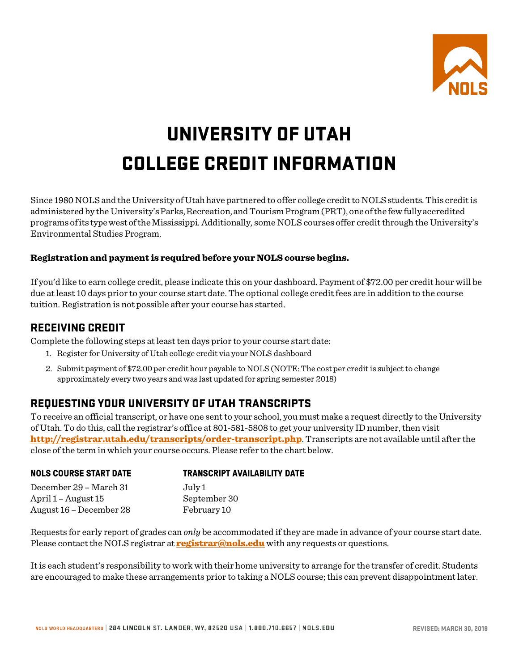

# UNIVERSITY OF UTAH COLLEGE CREDIT INFORMATION

Since 1980 NOLS and the University of Utah have partnered to offer college credit to NOLS students. This credit is administered by the University's Parks, Recreation, and Tourism Program (PRT), one of the few fully accredited programs ofits typewestoftheMississippi. Additionally, some NOLS courses offer credit through the University's Environmental Studies Program.

#### Registration and payment is required before your NOLS course begins.

If you'd like to earn college credit, please indicate this on your dashboard. Payment of \$72.00 per credit hour will be due at least 10 days prior to your course start date. The optional college credit fees are in addition to the course tuition. Registration is not possible after your course has started.

#### RECEIVING CREDIT

Complete the following steps at least ten days prior to your course start date:

- 1. Register for University of Utah college credit via your NOLS dashboard
- 2. Submit payment of \$72.00 per credit hour payable to NOLS (NOTE: The cost per credit is subject to change approximately every two years and was last updated for spring semester 2018)

## REQUESTING YOUR UNIVERSITY OF UTAH TRANSCRIPTS

To receive an official transcript, or have one sent to your school, you must make a request directly to the University of Utah. To do this, call the registrar's office at 801-581-5808 to get your university ID number, then visit <http://registrar.utah.edu/transcripts/order-transcript.php>. Transcripts are not available until after the close of the term in which your course occurs. Please refer to the chart below.

| <b>TRANSCRIPT AVAILABILITY DATE</b> |
|-------------------------------------|
| July 1                              |
| September 30                        |
| February 10                         |
|                                     |

Requests for early report of grades can *only* be accommodated if they are made in advance of your course start date. Please contact the NOLS registrar at **[registrar@nols.edu](mailto:registrar@nols.edu)** with any requests or questions.

It is each student's responsibility to work with their home university to arrange for the transfer of credit. Students are encouraged to make these arrangements prior to taking a NOLS course; this can prevent disappointment later.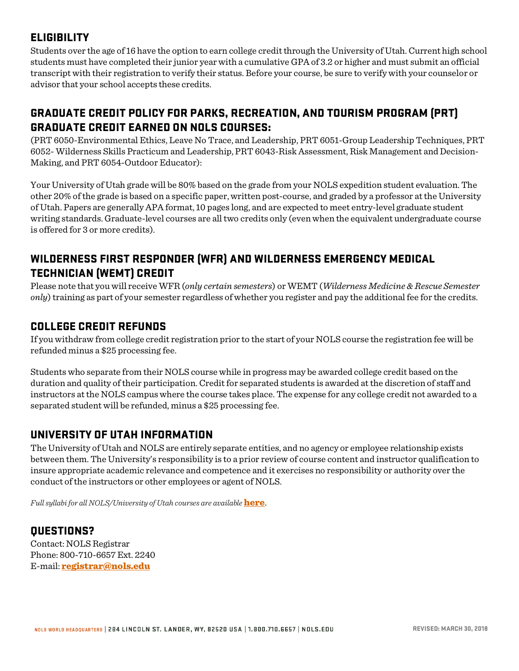# **ELIGIBILITY**

Students over the age of 16 have the option to earn college credit through the University of Utah. Current high school students must have completed their junior year with a cumulative GPA of 3.2 or higher and must submit an official transcript with their registration to verify their status. Before your course, be sure to verify with your counselor or advisor that your school accepts these credits.

# GRADUATE CREDIT POLICY FOR PARKS, RECREATION, AND TOURISM PROGRAM (PRT) GRADUATE CREDIT EARNED ON NOLS COURSES:

(PRT 6050-Environmental Ethics, Leave No Trace, and Leadership, PRT 6051-Group Leadership Techniques, PRT 6052- Wilderness Skills Practicum and Leadership, PRT 6043-Risk Assessment, Risk Management and Decision-Making, and PRT 6054-Outdoor Educator):

Your University of Utah grade will be 80% based on the grade from your NOLS expedition student evaluation. The other 20% of the grade is based on a specific paper, written post-course, and graded by a professor at the University of Utah. Papers are generally APA format, 10 pages long, and are expected to meet entry-level graduate student writing standards. Graduate-level courses are all two credits only (even when the equivalent undergraduate course is offered for 3 or more credits).

# WILDERNESS FIRST RESPONDER (WFR) AND WILDERNESS EMERGENCY MEDICAL TECHNICIAN (WEMT) CREDIT

Please note that you will receive WFR (*only certain semesters*) or WEMT (*Wilderness Medicine & Rescue Semester only*) training as part of your semester regardless of whether you register and pay the additional fee for the credits.

## COLLEGE CREDIT REFUNDS

If you withdraw from college credit registration prior to the start of your NOLS course the registration fee will be refunded minus a \$25 processing fee.

Students who separate from their NOLS course while in progress may be awarded college credit based on the duration and quality of their participation. Credit for separated students is awarded at the discretion of staff and instructors at the NOLS campus where the course takes place. The expense for any college credit not awarded to a separated student will be refunded, minus a \$25 processing fee.

# UNIVERSITY OF UTAH INFORMATION

The University of Utah and NOLS are entirely separate entities, and no agency or employee relationship exists between them. The University's responsibility is to a prior review of course content and instructor qualification to insure appropriate academic relevance and competence and it exercises no responsibility or authority over the conduct of the instructors or other employees or agent of NOLS.

*Full syllabi for all NOLS/University of Utah courses are available [here](https://www.nols.edu/en/filer/public/1477447072/211/).* 

# QUESTIONS?

Contact: NOLS Registrar Phone: 800-710-6657 Ext. 2240 E-mail: [registrar@nols.edu](mailto:registrar@nols.edu)